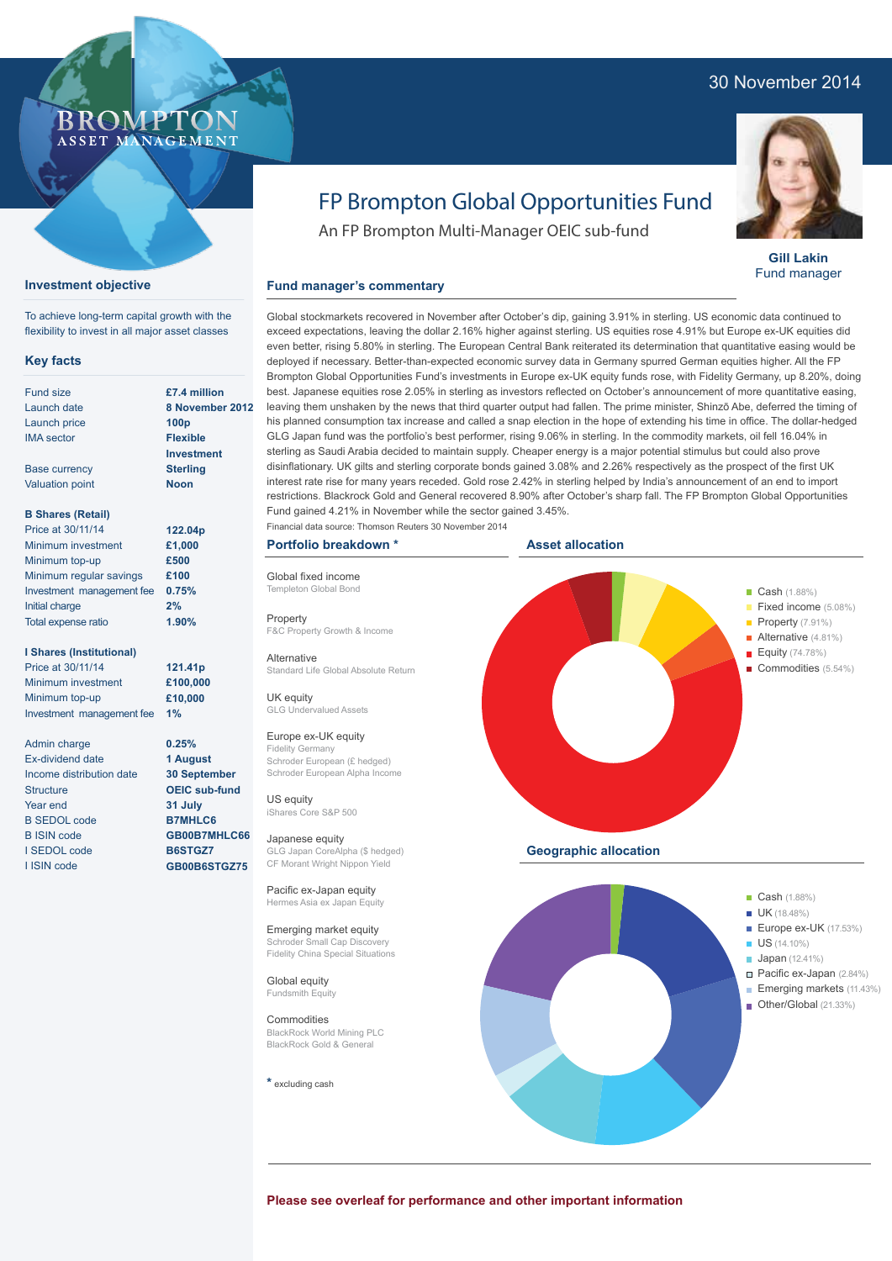### 30 November 2014



#### **Gill Lakin** Fund manager

# FP Brompton Global Opportunities Fund

An FP Brompton Multi-Manager OEIC sub-fund

#### **Fund manager's commentary**

**£7.4 million 8 November 2012 100p Flexible Investment Sterling Noon**

#### **B Shares (Retail)**

Base currency Valuation point

**Key facts** Fund size Launch date Launch price IMA sector

**Investment objective**

To achieve long-term capital growth with the flexibility to invest in all major asset classes

ROMP ASSET MANAGEMENT

| Price at 30/11/14         | 122.04p |
|---------------------------|---------|
| Minimum investment        | £1,000  |
| Minimum top-up            | £500    |
| Minimum regular savings   | £100    |
| Investment management fee | 0.75%   |
| Initial charge            | 2%      |
| Total expense ratio       | 1.90%   |

#### **I Shares (Institutional)**

Price at 30/11/14 Minimum investment Minimum top-up Investment management fee

Admin charge Ex-dividend date Income distribution date **Structure** Year end B SEDOL code B ISIN code I SEDOL code I ISIN code

**121.41p £100,000 £10,000 1% 0.25%**

**1 August 30 September OEIC sub-fund 31 July B7MHLC6 GB00B7MHLC66 B6STGZ7 GB00B6STGZ75**

exceed expectations, leaving the dollar 2.16% higher against sterling. US equities rose 4.91% but Europe ex-UK equities did even better, rising 5.80% in sterling. The European Central Bank reiterated its determination that quantitative easing would be deployed if necessary. Better-than-expected economic survey data in Germany spurred German equities higher. All the FP Brompton Global Opportunities Fund's investments in Europe ex-UK equity funds rose, with Fidelity Germany, up 8.20%, doing best. Japanese equities rose 2.05% in sterling as investors reflected on October's announcement of more quantitative easing, leaving them unshaken by the news that third quarter output had fallen. The prime minister, Shinzō Abe, deferred the timing of his planned consumption tax increase and called a snap election in the hope of extending his time in office. The dollar-hedged GLG Japan fund was the portfolio's best performer, rising 9.06% in sterling. In the commodity markets, oil fell 16.04% in sterling as Saudi Arabia decided to maintain supply. Cheaper energy is a major potential stimulus but could also prove disinflationary. UK gilts and sterling corporate bonds gained 3.08% and 2.26% respectively as the prospect of the first UK interest rate rise for many years receded. Gold rose 2.42% in sterling helped by India's announcement of an end to import restrictions. Blackrock Gold and General recovered 8.90% after October's sharp fall. The FP Brompton Global Opportunities Fund gained 4.21% in November while the sector gained 3.45%.

Global stockmarkets recovered in November after October's dip, gaining 3.91% in sterling. US economic data continued to

#### **Portfolio breakdown \***

Global fixed income Templeton Global Bong

**Property** F&C Property Growth & Income

Alternative Standard Life Global Absolute Return

UK equity GLG Undervalued Assets

#### Europe ex-UK equity Fidelity Germany

Schroder European (£ hedged) Schroder European Alpha Income

US equity iShares Core S&P 500

Japanese equity GLG Japan CoreAlpha (\$ hedged) CF Morant Wright Nippon Yield

Pacific ex-Japan equity Hermes Asia ex Japan Equity

Emerging market equity Schroder Small Cap Discovery Fidelity China Special Situations

Global equity Fundsmith Equity

Commodities BlackRock World Mining PLC BlackRock Gold & General

**\*** excluding cash



- Pacific ex-Japan (2.84%) **Emerging markets** (11.43%)
- Other/Global (21.33%)

**Please see overleaf for performance and other important information**